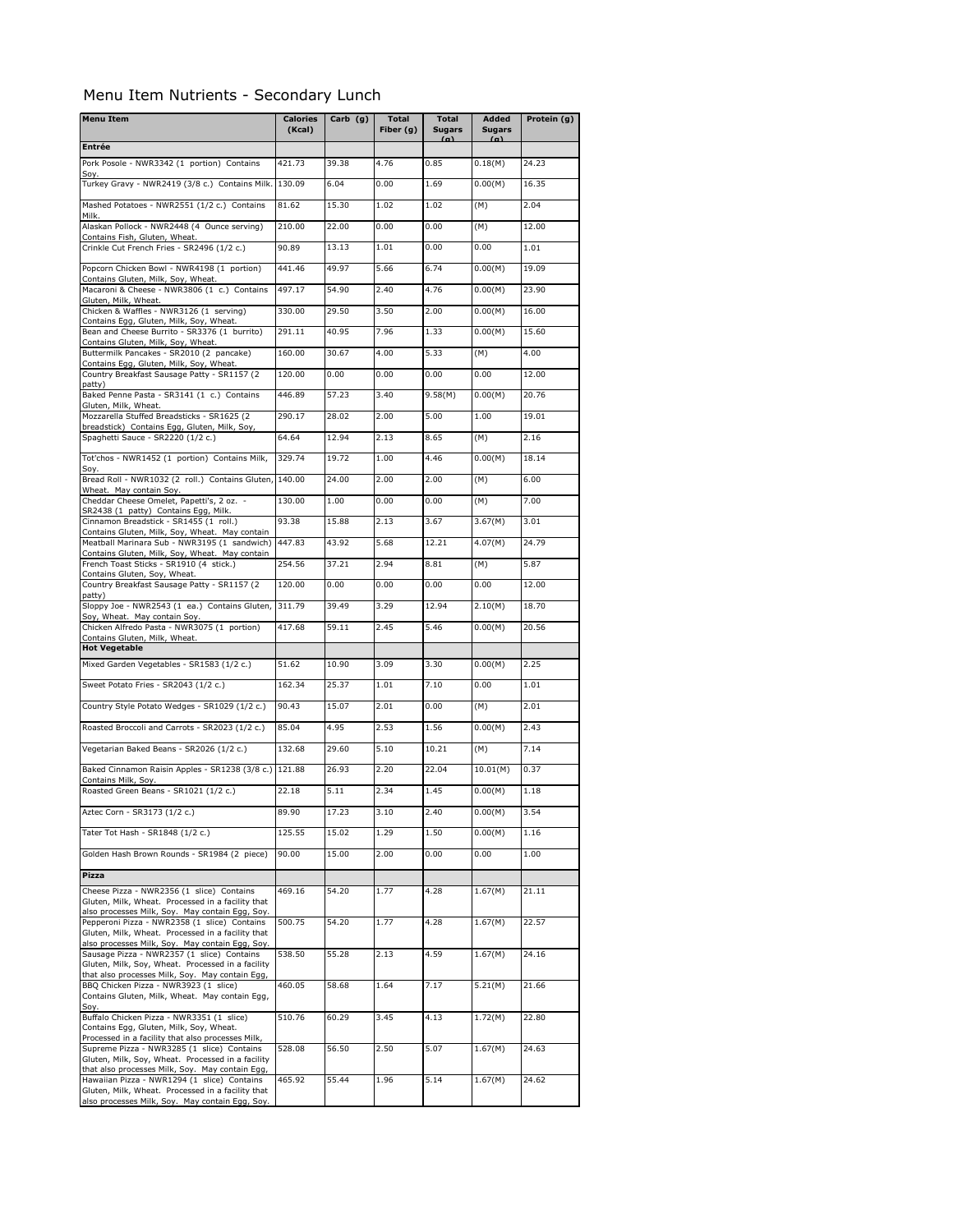## Menu Item Nutrients - Secondary Lunch

| <b>Menu Item</b>                                                                                                                                    | <b>Calories</b><br>(Kcal) | Carb (g) | <b>Total</b><br>Fiber (g) | <b>Total</b><br><b>Sugars</b><br>(n) | Added<br><b>Sugars</b><br>(n) | Protein (g) |
|-----------------------------------------------------------------------------------------------------------------------------------------------------|---------------------------|----------|---------------------------|--------------------------------------|-------------------------------|-------------|
| <b>Entrée</b>                                                                                                                                       |                           |          |                           |                                      |                               |             |
| Pork Posole - NWR3342 (1 portion) Contains                                                                                                          | 421.73                    | 39.38    | 4.76                      | 0.85                                 | 0.18(M)                       | 24.23       |
| Soy.<br>Turkey Gravy - NWR2419 (3/8 c.) Contains Milk.                                                                                              | 130.09                    | 6.04     | 0.00                      | 1.69                                 | 0.00(M)                       | 16.35       |
| Mashed Potatoes - NWR2551 (1/2 c.) Contains                                                                                                         | 81.62                     | 15.30    | 1.02                      | 1.02                                 | (M)                           | 2.04        |
| Milk.<br>Alaskan Pollock - NWR2448 (4 Ounce serving)                                                                                                | 210.00                    | 22.00    | 0.00                      | 0.00                                 | (M)                           | 12.00       |
| Contains Fish, Gluten, Wheat.<br>Crinkle Cut French Fries - SR2496 (1/2 c.)                                                                         | 90.89                     | 13.13    | 1.01                      | 0.00                                 | 0.00                          | 1.01        |
| Popcorn Chicken Bowl - NWR4198 (1 portion)                                                                                                          | 441.46                    | 49.97    | 5.66                      | 6.74                                 | 0.00(M)                       | 19.09       |
| Contains Gluten, Milk, Soy, Wheat.<br>Macaroni & Cheese - NWR3806 (1 c.) Contains                                                                   | 497.17                    | 54.90    | 2.40                      | 4.76                                 | 0.00(M)                       | 23.90       |
| Gluten, Milk, Wheat.<br>Chicken & Waffles - NWR3126 (1 serving)                                                                                     | 330.00                    | 29.50    | 3.50                      | 2.00                                 | 0.00(M)                       | 16.00       |
| Contains Egg, Gluten, Milk, Soy, Wheat.<br>Bean and Cheese Burrito - SR3376 (1 burrito)                                                             | 291.11                    | 40.95    | 7.96                      | 1.33                                 | 0.00(M)                       | 15.60       |
| Contains Gluten, Milk, Soy, Wheat.<br>Buttermilk Pancakes - SR2010 (2 pancake)                                                                      | 160.00                    | 30.67    | 4.00                      | 5.33                                 | (M)                           | 4.00        |
| Contains Egg, Gluten, Milk, Soy, Wheat.<br>Country Breakfast Sausage Patty - SR1157 (2                                                              | 120.00                    | 0.00     | 0.00                      | 0.00                                 | 0.00                          | 12.00       |
| patty)<br>Baked Penne Pasta - SR3141 (1 c.) Contains                                                                                                | 446.89                    | 57.23    | 3.40                      | 9.58(M)                              | 0.00(M)                       | 20.76       |
| Gluten, Milk, Wheat.<br>Mozzarella Stuffed Breadsticks - SR1625 (2)                                                                                 | 290.17                    | 28.02    | 2.00                      | 5.00                                 | 1.00                          | 19.01       |
| breadstick) Contains Egg, Gluten, Milk, Soy,<br>Spaghetti Sauce - SR2220 (1/2 c.)                                                                   | 64.64                     | 12.94    | 2.13                      | 8.65                                 | (M)                           | 2.16        |
|                                                                                                                                                     |                           |          |                           |                                      |                               |             |
| Tot'chos - NWR1452 (1 portion) Contains Milk,<br>Soy.                                                                                               | 329.74                    | 19.72    | 1.00                      | 4.46                                 | 0.00(M)                       | 18.14       |
| Bread Roll - NWR1032 (2 roll.) Contains Gluten,<br>Wheat. May contain Soy.                                                                          | 140.00                    | 24.00    | 2.00                      | 2.00                                 | (M)                           | 6.00        |
| Cheddar Cheese Omelet, Papetti's, 2 oz. -<br>SR2438 (1 patty) Contains Eqq, Milk.                                                                   | 130.00                    | 1.00     | 0.00                      | 0.00                                 | (M)                           | 7.00        |
| Cinnamon Breadstick - SR1455 (1 roll.)<br>Contains Gluten, Milk, Soy, Wheat. May contain                                                            | 93.38                     | 15.88    | 2.13                      | 3.67                                 | 3.67(M)                       | 3.01        |
| Meatball Marinara Sub - NWR3195 (1 sandwich)<br>Contains Gluten, Milk, Soy, Wheat. May contain                                                      | 447.83                    | 43.92    | 5.68                      | 12.21                                | 4.07(M)                       | 24.79       |
| French Toast Sticks - SR1910 (4 stick.)<br>Contains Gluten, Soy, Wheat.                                                                             | 254.56                    | 37.21    | 2.94                      | 8.81                                 | (M)                           | 5.87        |
| Country Breakfast Sausage Patty - SR1157 (2                                                                                                         | 120.00                    | 0.00     | 0.00                      | 0.00                                 | 0.00                          | 12.00       |
| patty)<br>Sloppy Joe - NWR2543 (1 ea.) Contains Gluten,                                                                                             | 311.79                    | 39.49    | 3.29                      | 12.94                                | 2.10(M)                       | 18.70       |
| Soy, Wheat. May contain Soy.<br>Chicken Alfredo Pasta - NWR3075 (1 portion)                                                                         | 417.68                    | 59.11    | 2.45                      | 5.46                                 | 0.00(M)                       | 20.56       |
| Contains Gluten, Milk, Wheat.<br><b>Hot Vegetable</b>                                                                                               |                           |          |                           |                                      |                               |             |
| Mixed Garden Vegetables - SR1583 (1/2 c.)                                                                                                           | 51.62                     | 10.90    | 3.09                      | 3.30                                 | 0.00(M)                       | 2.25        |
| Sweet Potato Fries - SR2043 (1/2 c.)                                                                                                                | 162.34                    | 25.37    | 1.01                      | 7.10                                 | 0.00                          | 1.01        |
| Country Style Potato Wedges - SR1029 (1/2 c.)                                                                                                       | 90.43                     | 15.07    | 2.01                      | 0.00                                 | (M)                           | 2.01        |
| Roasted Broccoli and Carrots - SR2023 (1/2 c.)                                                                                                      | 85.04                     | 4.95     | 2.53                      | 1.56                                 | 0.00(M)                       | 2.43        |
| Vegetarian Baked Beans - SR2026 (1/2 c.)                                                                                                            | 132.68                    | 29.60    | 5.10                      | 10.21                                | (M)                           | 7.14        |
| Baked Cinnamon Raisin Apples - SR1238 (3/8 c.) 121.88                                                                                               |                           | 26.93    | 2.20                      | 22.04                                | 10.01(M)                      | 0.37        |
| Contains Milk, Soy.<br>Roasted Green Beans - SR1021 (1/2 c.)                                                                                        | 22.18                     | 5.11     | 2.34                      | 1.45                                 | 0.00(M)                       | 1.18        |
|                                                                                                                                                     | 89.90                     | 17.23    | 3.10                      | 2.40                                 | 0.00(M)                       | 3.54        |
| Aztec Corn - SR3173 (1/2 c.)<br>Tater Tot Hash - SR1848 (1/2 c.)                                                                                    | 125.55                    | 15.02    | 1.29                      | 1.50                                 | 0.00(M)                       | 1.16        |
|                                                                                                                                                     |                           |          |                           |                                      |                               |             |
| Golden Hash Brown Rounds - SR1984 (2 piece)                                                                                                         | 90.00                     | 15.00    | 2.00                      | 0.00                                 | 0.00                          | 1.00        |
| Pizza                                                                                                                                               |                           |          |                           |                                      |                               |             |
| Cheese Pizza - NWR2356 (1 slice) Contains<br>Gluten, Milk, Wheat. Processed in a facility that                                                      | 469.16                    | 54.20    | 1.77                      | 4.28                                 | 1.67(M)                       | 21.11       |
| also processes Milk, Soy. May contain Egg, Soy.<br>Pepperoni Pizza - NWR2358 (1 slice) Contains                                                     | 500.75                    | 54.20    | 1.77                      | 4.28                                 | 1.67(M)                       | 22.57       |
| Gluten, Milk, Wheat. Processed in a facility that<br>also processes Milk, Soy. May contain Egg, Soy.                                                |                           |          |                           |                                      |                               |             |
| Sausage Pizza - NWR2357 (1 slice) Contains<br>Gluten, Milk, Soy, Wheat. Processed in a facility<br>that also processes Milk, Soy. May contain Egg,  | 538.50                    | 55.28    | 2.13                      | 4.59                                 | 1.67(M)                       | 24.16       |
| BBQ Chicken Pizza - NWR3923 (1 slice)<br>Contains Gluten, Milk, Wheat. May contain Egg,                                                             | 460.05                    | 58.68    | 1.64                      | 7.17                                 | 5.21(M)                       | 21.66       |
| Soy.<br>Buffalo Chicken Pizza - NWR3351 (1 slice)                                                                                                   | 510.76                    | 60.29    | 3.45                      | 4.13                                 | 1.72(M)                       | 22.80       |
| Contains Egg, Gluten, Milk, Soy, Wheat.<br>Processed in a facility that also processes Milk,<br>Supreme Pizza - NWR3285 (1 slice) Contains          | 528.08                    | 56.50    | 2.50                      | 5.07                                 | 1.67(M)                       | 24.63       |
| Gluten, Milk, Soy, Wheat. Processed in a facility<br>that also processes Milk, Soy. May contain Egg,                                                |                           |          |                           |                                      |                               |             |
| Hawaiian Pizza - NWR1294 (1 slice) Contains<br>Gluten, Milk, Wheat. Processed in a facility that<br>also processes Milk, Soy. May contain Egg, Soy. | 465.92                    | 55.44    | 1.96                      | 5.14                                 | 1.67(M)                       | 24.62       |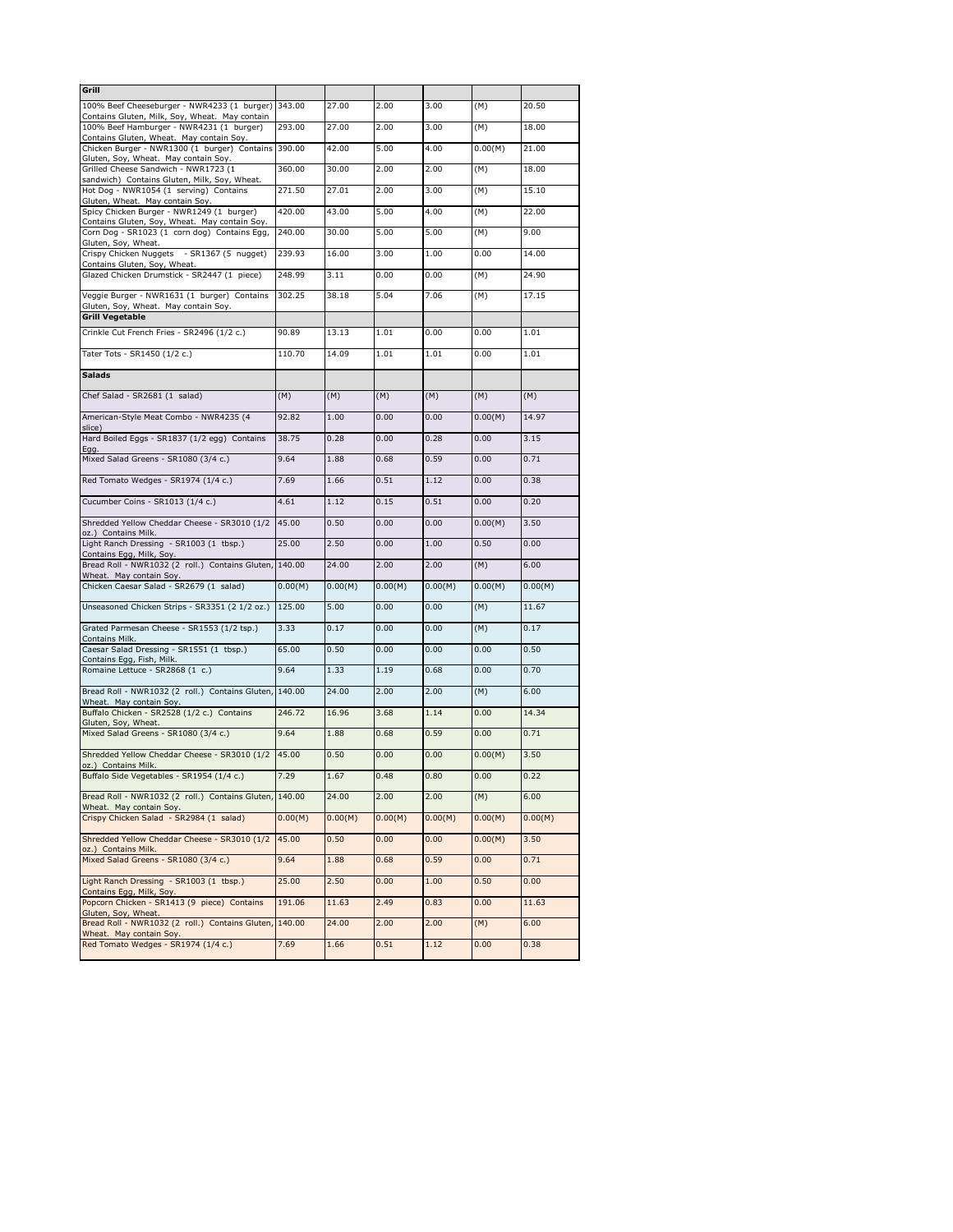| Grill                                                                                      |         |         |         |         |         |         |
|--------------------------------------------------------------------------------------------|---------|---------|---------|---------|---------|---------|
| 100% Beef Cheeseburger - NWR4233 (1 burger)                                                | 343.00  | 27.00   | 2.00    | 3.00    | (M)     | 20.50   |
| Contains Gluten, Milk, Soy, Wheat. May contain<br>100% Beef Hamburger - NWR4231 (1 burger) | 293.00  | 27.00   | 2.00    | 3.00    | (M)     | 18.00   |
| Contains Gluten, Wheat. May contain Soy.<br>Chicken Burger - NWR1300 (1 burger) Contains   | 390.00  | 42.00   | 5.00    | 4.00    | 0.00(M) | 21.00   |
| Gluten, Soy, Wheat. May contain Soy.<br>Grilled Cheese Sandwich - NWR1723 (1               | 360.00  | 30.00   | 2.00    | 2.00    | (M)     | 18.00   |
| sandwich) Contains Gluten, Milk, Soy, Wheat.<br>Hot Dog - NWR1054 (1 serving) Contains     | 271.50  | 27.01   | 2.00    | 3.00    | (M)     | 15.10   |
| Gluten, Wheat. May contain Soy.<br>Spicy Chicken Burger - NWR1249 (1 burger)               | 420.00  | 43.00   | 5.00    | 4.00    | (M)     | 22.00   |
| Contains Gluten, Soy, Wheat. May contain Soy.                                              |         |         | 5.00    |         |         | 9.00    |
| Corn Dog - SR1023 (1 corn dog) Contains Egg,<br>Gluten, Soy, Wheat.                        | 240.00  | 30.00   |         | 5.00    | (M)     |         |
| Crispy Chicken Nuggets<br>- SR1367 (5 nugget)<br>Contains Gluten, Soy, Wheat.              | 239.93  | 16.00   | 3.00    | 1.00    | 0.00    | 14.00   |
| Glazed Chicken Drumstick - SR2447 (1 piece)                                                | 248.99  | 3.11    | 0.00    | 0.00    | (M)     | 24.90   |
| Veggie Burger - NWR1631 (1 burger) Contains<br>Gluten, Soy, Wheat. May contain Soy.        | 302.25  | 38.18   | 5.04    | 7.06    | (M)     | 17.15   |
| <b>Grill Vegetable</b>                                                                     |         |         |         |         |         |         |
| Crinkle Cut French Fries - SR2496 (1/2 c.)                                                 | 90.89   | 13.13   | 1.01    | 0.00    | 0.00    | 1.01    |
| Tater Tots - SR1450 (1/2 c.)                                                               | 110.70  | 14.09   | 1.01    | 1.01    | 0.00    | 1.01    |
| <b>Salads</b>                                                                              |         |         |         |         |         |         |
| Chef Salad - SR2681 (1 salad)                                                              | (M)     | (M)     | (M)     | (M)     | (M)     | (M)     |
| American-Style Meat Combo - NWR4235 (4                                                     | 92.82   | 1.00    | 0.00    | 0.00    | 0.00(M) | 14.97   |
| slice)<br>Hard Boiled Eggs - SR1837 (1/2 egg) Contains                                     | 38.75   | 0.28    | 0.00    | 0.28    | 0.00    | 3.15    |
| Egg.<br>Mixed Salad Greens - SR1080 (3/4 c.)                                               | 9.64    | 1.88    | 0.68    | 0.59    | 0.00    | 0.71    |
| Red Tomato Wedges - SR1974 (1/4 c.)                                                        | 7.69    | 1.66    | 0.51    | 1.12    | 0.00    | 0.38    |
| Cucumber Coins - SR1013 (1/4 c.)                                                           | 4.61    | 1.12    | 0.15    | 0.51    | 0.00    | 0.20    |
| Shredded Yellow Cheddar Cheese - SR3010 (1/2                                               | 45.00   | 0.50    | 0.00    | 0.00    | 0.00(M) | 3.50    |
| oz.) Contains Milk.<br>Light Ranch Dressing - SR1003 (1 tbsp.)                             | 25.00   | 2.50    | 0.00    | 1.00    | 0.50    | 0.00    |
| Contains Egg, Milk, Soy.<br>Bread Roll - NWR1032 (2 roll.) Contains Gluten, 140.00         |         | 24.00   | 2.00    | 2.00    | (M)     | 6.00    |
| Wheat. May contain Soy.<br>Chicken Caesar Salad - SR2679 (1 salad)                         | 0.00(M) | 0.00(M) | 0.00(M) | 0.00(M) | 0.00(M) | 0.00(M) |
| Unseasoned Chicken Strips - SR3351 (2 1/2 oz.)                                             | 125.00  | 5.00    | 0.00    | 0.00    | (M)     | 11.67   |
| Grated Parmesan Cheese - SR1553 (1/2 tsp.)                                                 | 3.33    | 0.17    | 0.00    | 0.00    | (M)     | 0.17    |
| Contains Milk.<br>Caesar Salad Dressing - SR1551 (1 tbsp.)                                 | 65.00   | 0.50    | 0.00    | 0.00    | 0.00    | 0.50    |
| Contains Egg, Fish, Milk.<br>Romaine Lettuce - SR2868 (1 c.)                               | 9.64    | 1.33    | 1.19    | 0.68    | 0.00    | 0.70    |
| Bread Roll - NWR1032 (2 roll.) Contains Gluten, 140.00                                     |         | 24.00   | 2.00    | 2.00    | (M)     | 6.00    |
| Wheat. May contain Soy.<br>Buffalo Chicken - SR2528 (1/2 c.) Contains                      | 246.72  | 16.96   | 3.68    | 1.14    | 0.00    | 14.34   |
| Gluten, Soy, Wheat.                                                                        | 9.64    |         |         | 0.59    | 0.00    | 0.71    |
| Mixed Salad Greens - SR1080 (3/4 c.)                                                       |         | 1.88    | 0.68    |         |         |         |
| Shredded Yellow Cheddar Cheese - SR3010 (1/2<br>oz.) Contains Milk.                        | 45.00   | 0.50    | 0.00    | 0.00    | 0.00(M) | 3.50    |
| Buffalo Side Vegetables - SR1954 (1/4 c.)                                                  | 7.29    | 1.67    | 0.48    | 0.80    | 0.00    | 0.22    |
| Bread Roll - NWR1032 (2 roll.) Contains Gluten, 140.00<br>Wheat. May contain Soy.          |         | 24.00   | 2.00    | 2.00    | (M)     | 6.00    |
| Crispy Chicken Salad - SR2984 (1 salad)                                                    | 0.00(M) | 0.00(M) | 0.00(M) | 0.00(M) | 0.00(M) | 0.00(M) |
| Shredded Yellow Cheddar Cheese - SR3010 (1/2<br>oz.) Contains Milk.                        | 45.00   | 0.50    | 0.00    | 0.00    | 0.00(M) | 3.50    |
| Mixed Salad Greens - SR1080 (3/4 c.)                                                       | 9.64    | 1.88    | 0.68    | 0.59    | 0.00    | 0.71    |
| Light Ranch Dressing - SR1003 (1 tbsp.)<br>Contains Egg, Milk, Soy.                        | 25.00   | 2.50    | 0.00    | 1.00    | 0.50    | 0.00    |
| Popcorn Chicken - SR1413 (9 piece) Contains<br>Gluten, Soy, Wheat.                         | 191.06  | 11.63   | 2.49    | 0.83    | 0.00    | 11.63   |
| Bread Roll - NWR1032 (2 roll.) Contains Gluten,                                            | 140.00  | 24.00   | 2.00    | 2.00    | (M)     | 6.00    |
| Wheat. May contain Soy.<br>Red Tomato Wedges - SR1974 (1/4 c.)                             | 7.69    | 1.66    | 0.51    | 1.12    | 0.00    | 0.38    |
|                                                                                            |         |         |         |         |         |         |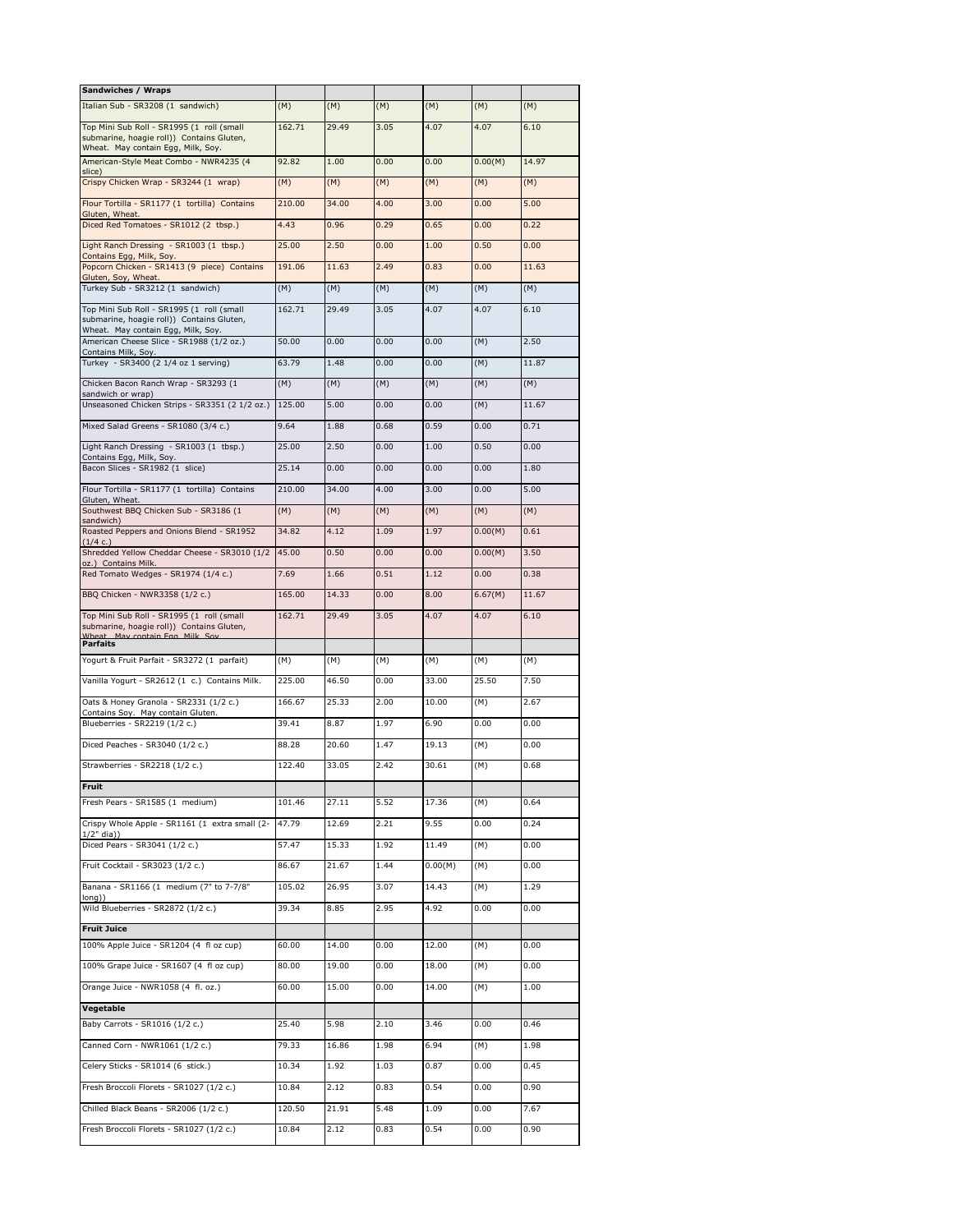| Sandwiches / Wraps                                                                                                                          |        |       |      |         |         |       |
|---------------------------------------------------------------------------------------------------------------------------------------------|--------|-------|------|---------|---------|-------|
| Italian Sub - SR3208 (1 sandwich)                                                                                                           | (M)    | (M)   | (M)  | (M)     | (M)     | (M)   |
| Top Mini Sub Roll - SR1995 (1 roll (small<br>submarine, hoagie roll)) Contains Gluten,<br>Wheat. May contain Egg, Milk, Soy.                | 162.71 | 29.49 | 3.05 | 4.07    | 4.07    | 6.10  |
| American-Style Meat Combo - NWR4235 (4<br>slice)                                                                                            | 92.82  | 1.00  | 0.00 | 0.00    | 0.00(M) | 14.97 |
| Crispy Chicken Wrap - SR3244 (1 wrap)                                                                                                       | (M)    | (M)   | (M)  | (M)     | (M)     | (M)   |
| Flour Tortilla - SR1177 (1 tortilla) Contains                                                                                               | 210.00 | 34.00 | 4.00 | 3.00    | 0.00    | 5.00  |
| Gluten, Wheat.<br>Diced Red Tomatoes - SR1012 (2 tbsp.)                                                                                     | 4.43   | 0.96  | 0.29 | 0.65    | 0.00    | 0.22  |
| Light Ranch Dressing - SR1003 (1 tbsp.)                                                                                                     | 25.00  | 2.50  | 0.00 | 1.00    | 0.50    | 0.00  |
| Contains Egg, Milk, Soy.<br>Popcorn Chicken - SR1413 (9 piece) Contains                                                                     | 191.06 | 11.63 | 2.49 | 0.83    | 0.00    | 11.63 |
| Gluten, Soy, Wheat.<br>Turkey Sub - SR3212 (1 sandwich)                                                                                     | (M)    | (M)   | (M)  | (M)     | (M)     | (M)   |
| Top Mini Sub Roll - SR1995 (1 roll (small<br>submarine, hoagie roll)) Contains Gluten,<br>Wheat. May contain Egg, Milk, Soy.                | 162.71 | 29.49 | 3.05 | 4.07    | 4.07    | 6.10  |
| American Cheese Slice - SR1988 (1/2 oz.)<br>Contains Milk, Soy.                                                                             | 50.00  | 0.00  | 0.00 | 0.00    | (M)     | 2.50  |
| Turkey - SR3400 (2 1/4 oz 1 serving)                                                                                                        | 63.79  | 1.48  | 0.00 | 0.00    | (M)     | 11.87 |
| Chicken Bacon Ranch Wrap - SR3293 (1                                                                                                        | (M)    | (M)   | (M)  | (M)     | (M)     | (M)   |
| sandwich or wrap)<br>Unseasoned Chicken Strips - SR3351 (2 1/2 oz.)                                                                         | 125.00 | 5.00  | 0.00 | 0.00    | (M)     | 11.67 |
| Mixed Salad Greens - SR1080 (3/4 c.)                                                                                                        | 9.64   | 1.88  | 0.68 | 0.59    | 0.00    | 0.71  |
| Light Ranch Dressing - SR1003 (1 tbsp.)                                                                                                     | 25.00  | 2.50  | 0.00 | 1.00    | 0.50    | 0.00  |
| Contains Egg, Milk, Soy.<br>Bacon Slices - SR1982 (1 slice)                                                                                 | 25.14  | 0.00  | 0.00 | 0.00    | 0.00    | 1.80  |
| Flour Tortilla - SR1177 (1 tortilla) Contains                                                                                               | 210.00 | 34.00 | 4.00 | 3.00    | 0.00    | 5.00  |
| Gluten, Wheat.<br>Southwest BBQ Chicken Sub - SR3186 (1                                                                                     | (M)    | (M)   | (M)  | (M)     | (M)     | (M)   |
| sandwich)<br>Roasted Peppers and Onions Blend - SR1952                                                                                      | 34.82  | 4.12  | 1.09 | 1.97    | 0.00(M) | 0.61  |
| (1/4 c.)<br>Shredded Yellow Cheddar Cheese - SR3010 (1/2                                                                                    | 45.00  | 0.50  | 0.00 | 0.00    | 0.00(M) | 3.50  |
| oz.) Contains Milk.<br>Red Tomato Wedges - SR1974 (1/4 c.)                                                                                  | 7.69   | 1.66  | 0.51 | 1.12    | 0.00    | 0.38  |
| BBQ Chicken - NWR3358 (1/2 c.)                                                                                                              | 165.00 | 14.33 | 0.00 | 8.00    | 6.67(M) | 11.67 |
| Top Mini Sub Roll - SR1995 (1 roll (small<br>submarine, hoagie roll)) Contains Gluten,<br>Wheat May contain Fog Milk Soy<br><b>Parfaits</b> | 162.71 | 29.49 | 3.05 | 4.07    | 4.07    | 6.10  |
| Yogurt & Fruit Parfait - SR3272 (1 parfait)                                                                                                 | (M)    | (M)   | (M)  | (M)     | (M)     | (M)   |
| Vanilla Yogurt - SR2612 (1 c.) Contains Milk.                                                                                               | 225.00 | 46.50 | 0.00 | 33.00   | 25.50   | 7.50  |
| Oats & Honey Granola - SR2331 (1/2 c.)                                                                                                      | 166.67 | 25.33 | 2.00 | 10.00   | (M)     | 2.67  |
| Contains Soy. May contain Gluten.<br>Blueberries - SR2219 (1/2 c.)                                                                          | 39.41  | 8.87  | 1.97 | 6.90    | 0.00    | 0.00  |
| Diced Peaches - SR3040 (1/2 c.)                                                                                                             | 88.28  | 20.60 | 1.47 | 19.13   | (M)     | 0.00  |
| Strawberries - SR2218 (1/2 c.)                                                                                                              | 122.40 | 33.05 | 2.42 | 30.61   | (M)     | 0.68  |
| Fruit                                                                                                                                       |        |       |      |         |         |       |
| Fresh Pears - SR1585 (1 medium)                                                                                                             | 101.46 | 27.11 | 5.52 | 17.36   | (M)     | 0.64  |
| Crispy Whole Apple - SR1161 (1 extra small (2-                                                                                              | 47.79  | 12.69 | 2.21 | 9.55    | 0.00    | 0.24  |
| $1/2"$ dia $)$<br>Diced Pears - SR3041 (1/2 c.)                                                                                             | 57.47  | 15.33 | 1.92 | 11.49   | (M)     | 0.00  |
| Fruit Cocktail - SR3023 (1/2 c.)                                                                                                            | 86.67  | 21.67 | 1.44 | 0.00(M) | (M)     | 0.00  |
| Banana - SR1166 (1 medium (7" to 7-7/8"                                                                                                     | 105.02 | 26.95 | 3.07 | 14.43   | (M)     | 1.29  |
| long))<br>Wild Blueberries - SR2872 (1/2 c.)                                                                                                | 39.34  | 8.85  | 2.95 | 4.92    | 0.00    | 0.00  |
| <b>Fruit Juice</b>                                                                                                                          |        |       |      |         |         |       |
| 100% Apple Juice - SR1204 (4 fl oz cup)                                                                                                     | 60.00  | 14.00 | 0.00 | 12.00   | (M)     | 0.00  |
| 100% Grape Juice - SR1607 (4 fl oz cup)                                                                                                     | 80.00  | 19.00 | 0.00 | 18.00   | (M)     | 0.00  |
| Orange Juice - NWR1058 (4 fl. oz.)                                                                                                          | 60.00  | 15.00 | 0.00 | 14.00   | (M)     | 1.00  |
| Vegetable                                                                                                                                   |        |       |      |         |         |       |
| Baby Carrots - SR1016 (1/2 c.)                                                                                                              | 25.40  | 5.98  | 2.10 | 3.46    | 0.00    | 0.46  |
| Canned Corn - NWR1061 (1/2 c.)                                                                                                              | 79.33  | 16.86 | 1.98 | 6.94    | (M)     | 1.98  |
| Celery Sticks - SR1014 (6 stick.)                                                                                                           | 10.34  | 1.92  | 1.03 | 0.87    | 0.00    | 0.45  |
| Fresh Broccoli Florets - SR1027 (1/2 c.)                                                                                                    | 10.84  | 2.12  | 0.83 | 0.54    | 0.00    | 0.90  |
| Chilled Black Beans - SR2006 (1/2 c.)                                                                                                       | 120.50 | 21.91 | 5.48 | 1.09    | 0.00    | 7.67  |
| Fresh Broccoli Florets - SR1027 (1/2 c.)                                                                                                    | 10.84  | 2.12  | 0.83 | 0.54    | 0.00    | 0.90  |